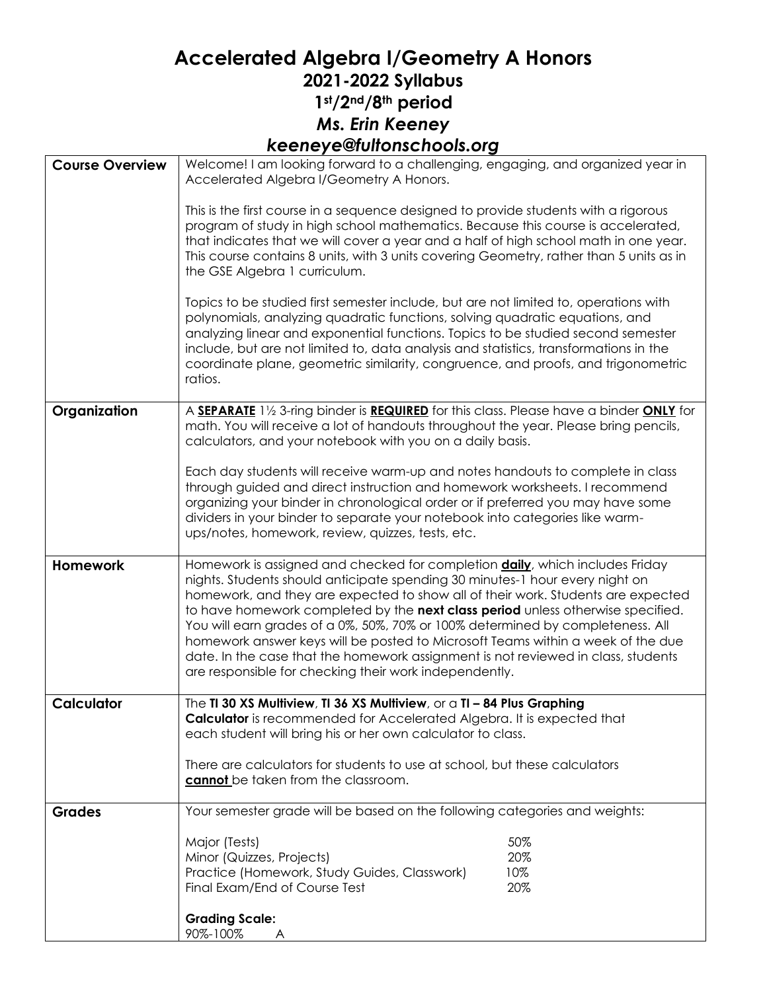## **Accelerated Algebra I/Geometry A Honors 2021-2022 Syllabus 1st/2nd/8th period** *Ms. Erin Keeney keeneye@fultonschools.org*

| <b>Course Overview</b> | Welcome! I am looking forward to a challenging, engaging, and organized year in<br>Accelerated Algebra I/Geometry A Honors.                                                                                                                                                                                                                                                                                                                                                                                                                                                                                                                                     |
|------------------------|-----------------------------------------------------------------------------------------------------------------------------------------------------------------------------------------------------------------------------------------------------------------------------------------------------------------------------------------------------------------------------------------------------------------------------------------------------------------------------------------------------------------------------------------------------------------------------------------------------------------------------------------------------------------|
|                        | This is the first course in a sequence designed to provide students with a rigorous<br>program of study in high school mathematics. Because this course is accelerated,<br>that indicates that we will cover a year and a half of high school math in one year.<br>This course contains 8 units, with 3 units covering Geometry, rather than 5 units as in<br>the GSE Algebra 1 curriculum.<br>Topics to be studied first semester include, but are not limited to, operations with<br>polynomials, analyzing quadratic functions, solving quadratic equations, and<br>analyzing linear and exponential functions. Topics to be studied second semester         |
|                        | include, but are not limited to, data analysis and statistics, transformations in the<br>coordinate plane, geometric similarity, congruence, and proofs, and trigonometric<br>ratios.                                                                                                                                                                                                                                                                                                                                                                                                                                                                           |
| Organization           | A SEPARATE 11/2 3-ring binder is REQUIRED for this class. Please have a binder ONLY for<br>math. You will receive a lot of handouts throughout the year. Please bring pencils,<br>calculators, and your notebook with you on a daily basis.                                                                                                                                                                                                                                                                                                                                                                                                                     |
|                        | Each day students will receive warm-up and notes handouts to complete in class<br>through guided and direct instruction and homework worksheets. I recommend<br>organizing your binder in chronological order or if preferred you may have some<br>dividers in your binder to separate your notebook into categories like warm-<br>ups/notes, homework, review, quizzes, tests, etc.                                                                                                                                                                                                                                                                            |
| <b>Homework</b>        | Homework is assigned and checked for completion <b>daily</b> , which includes Friday<br>nights. Students should anticipate spending 30 minutes-1 hour every night on<br>homework, and they are expected to show all of their work. Students are expected<br>to have homework completed by the next class period unless otherwise specified.<br>You will earn grades of a 0%, 50%, 70% or 100% determined by completeness. All<br>homework answer keys will be posted to Microsoft Teams within a week of the due<br>date. In the case that the homework assignment is not reviewed in class, students<br>are responsible for checking their work independently. |
| <b>Calculator</b>      | The TI 30 XS Multiview, TI 36 XS Multiview, or a TI - 84 Plus Graphing<br>Calculator is recommended for Accelerated Algebra. It is expected that<br>each student will bring his or her own calculator to class.                                                                                                                                                                                                                                                                                                                                                                                                                                                 |
|                        | There are calculators for students to use at school, but these calculators<br>cannot be taken from the classroom.                                                                                                                                                                                                                                                                                                                                                                                                                                                                                                                                               |
| <b>Grades</b>          | Your semester grade will be based on the following categories and weights:                                                                                                                                                                                                                                                                                                                                                                                                                                                                                                                                                                                      |
|                        | Major (Tests)<br>50%<br>20%<br>Minor (Quizzes, Projects)<br>10%<br>Practice (Homework, Study Guides, Classwork)<br>20%<br>Final Exam/End of Course Test                                                                                                                                                                                                                                                                                                                                                                                                                                                                                                         |
|                        | <b>Grading Scale:</b><br>90%-100%                                                                                                                                                                                                                                                                                                                                                                                                                                                                                                                                                                                                                               |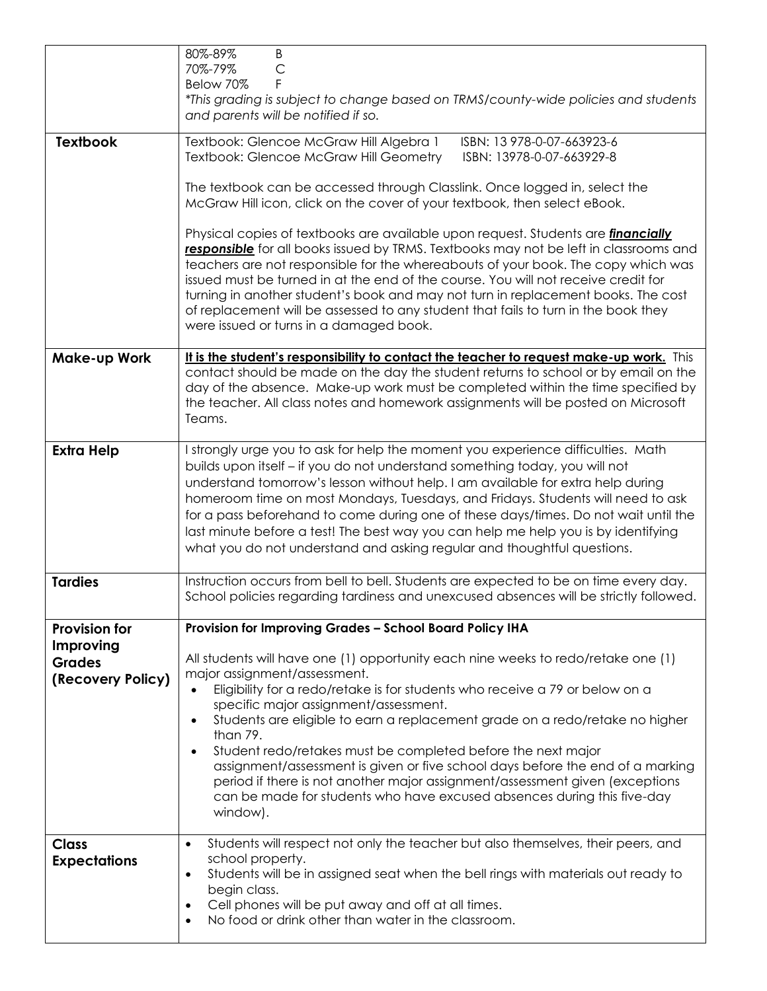|                            | 80%-89%<br>B<br>70%-79%<br>$\mathsf{C}$<br>Below 70%<br>F<br>*This grading is subject to change based on TRMS/county-wide policies and students<br>and parents will be notified if so.                                                                                                                                                                                                                                                                                                                                                                                                        |
|----------------------------|-----------------------------------------------------------------------------------------------------------------------------------------------------------------------------------------------------------------------------------------------------------------------------------------------------------------------------------------------------------------------------------------------------------------------------------------------------------------------------------------------------------------------------------------------------------------------------------------------|
| <b>Textbook</b>            | Textbook: Glencoe McGraw Hill Algebra 1<br>ISBN: 13 978-0-07-663923-6<br>Textbook: Glencoe McGraw Hill Geometry<br>ISBN: 13978-0-07-663929-8                                                                                                                                                                                                                                                                                                                                                                                                                                                  |
|                            | The textbook can be accessed through Classlink. Once logged in, select the<br>McGraw Hill icon, click on the cover of your textbook, then select eBook.                                                                                                                                                                                                                                                                                                                                                                                                                                       |
|                            | Physical copies of textbooks are available upon request. Students are <i>financially</i><br>responsible for all books issued by TRMS. Textbooks may not be left in classrooms and<br>teachers are not responsible for the whereabouts of your book. The copy which was<br>issued must be turned in at the end of the course. You will not receive credit for<br>turning in another student's book and may not turn in replacement books. The cost<br>of replacement will be assessed to any student that fails to turn in the book they<br>were issued or turns in a damaged book.            |
| <b>Make-up Work</b>        | It is the student's responsibility to contact the teacher to request make-up work. This<br>contact should be made on the day the student returns to school or by email on the<br>day of the absence. Make-up work must be completed within the time specified by<br>the teacher. All class notes and homework assignments will be posted on Microsoft<br>Teams.                                                                                                                                                                                                                               |
| <b>Extra Help</b>          | I strongly urge you to ask for help the moment you experience difficulties. Math<br>builds upon itself - if you do not understand something today, you will not<br>understand tomorrow's lesson without help. I am available for extra help during<br>homeroom time on most Mondays, Tuesdays, and Fridays. Students will need to ask<br>for a pass beforehand to come during one of these days/times. Do not wait until the<br>last minute before a test! The best way you can help me help you is by identifying<br>what you do not understand and asking regular and thoughtful questions. |
| <b>Tardies</b>             | Instruction occurs from bell to bell. Students are expected to be on time every day.<br>School policies regarding tardiness and unexcused absences will be strictly followed.                                                                                                                                                                                                                                                                                                                                                                                                                 |
| <b>Provision for</b>       | Provision for Improving Grades - School Board Policy IHA                                                                                                                                                                                                                                                                                                                                                                                                                                                                                                                                      |
| Improving<br><b>Grades</b> | All students will have one (1) opportunity each nine weeks to redo/retake one (1)                                                                                                                                                                                                                                                                                                                                                                                                                                                                                                             |
| (Recovery Policy)          | major assignment/assessment.<br>Eligibility for a redo/retake is for students who receive a 79 or below on a<br>$\bullet$<br>specific major assignment/assessment.                                                                                                                                                                                                                                                                                                                                                                                                                            |
|                            | Students are eligible to earn a replacement grade on a redo/retake no higher<br>than 79.                                                                                                                                                                                                                                                                                                                                                                                                                                                                                                      |
|                            | Student redo/retakes must be completed before the next major<br>assignment/assessment is given or five school days before the end of a marking<br>period if there is not another major assignment/assessment given (exceptions<br>can be made for students who have excused absences during this five-day<br>window).                                                                                                                                                                                                                                                                         |
| <b>Class</b>               | Students will respect not only the teacher but also themselves, their peers, and<br>$\bullet$                                                                                                                                                                                                                                                                                                                                                                                                                                                                                                 |
| <b>Expectations</b>        | school property.<br>Students will be in assigned seat when the bell rings with materials out ready to<br>$\bullet$<br>begin class.<br>Cell phones will be put away and off at all times.<br>$\bullet$<br>No food or drink other than water in the classroom.                                                                                                                                                                                                                                                                                                                                  |